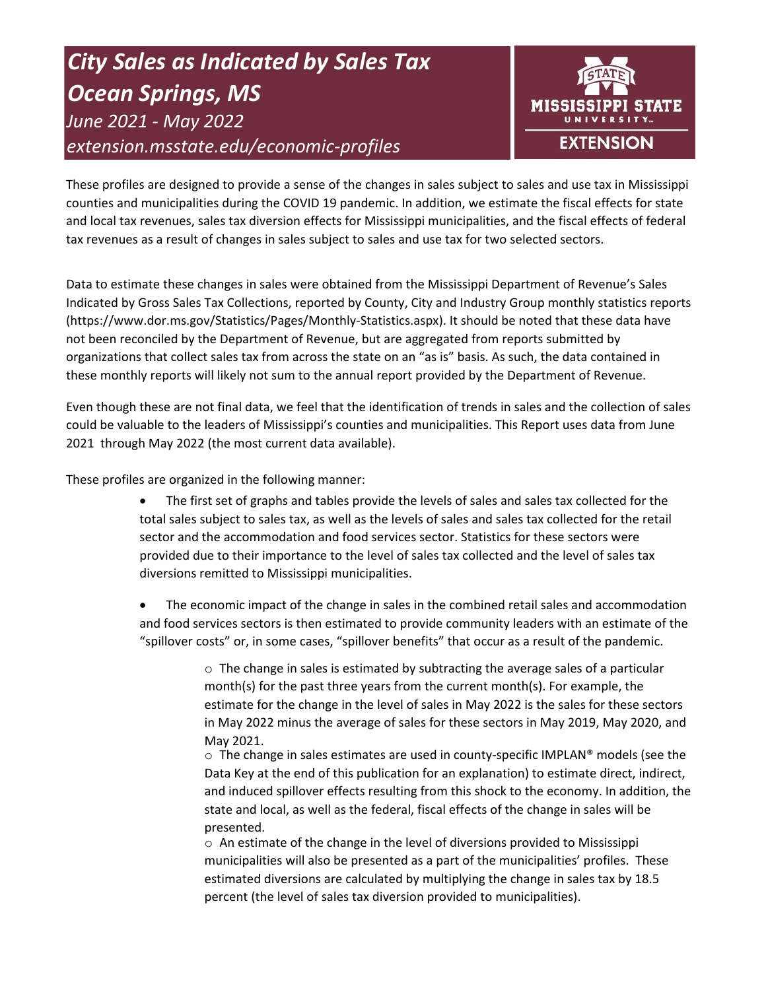# *City Sales as Indicated by Sales Tax Ocean Springs, MS June 2021 - May 2022 extension.msstate.edu/economic-profiles*



These profiles are designed to provide a sense of the changes in sales subject to sales and use tax in Mississippi counties and municipalities during the COVID 19 pandemic. In addition, we estimate the fiscal effects for state and local tax revenues, sales tax diversion effects for Mississippi municipalities, and the fiscal effects of federal tax revenues as a result of changes in sales subject to sales and use tax for two selected sectors.

Data to estimate these changes in sales were obtained from the Mississippi Department of Revenue's Sales Indicated by Gross Sales Tax Collections, reported by County, City and Industry Group monthly statistics reports (https://www.dor.ms.gov/Statistics/Pages/Monthly-Statistics.aspx). It should be noted that these data have not been reconciled by the Department of Revenue, but are aggregated from reports submitted by organizations that collect sales tax from across the state on an "as is" basis. As such, the data contained in these monthly reports will likely not sum to the annual report provided by the Department of Revenue.

Even though these are not final data, we feel that the identification of trends in sales and the collection of sales could be valuable to the leaders of Mississippi's counties and municipalities. This Report uses data from June 2021 through May 2022 (the most current data available).

These profiles are organized in the following manner:

- The first set of graphs and tables provide the levels of sales and sales tax collected for the total sales subject to sales tax, as well as the levels of sales and sales tax collected for the retail sector and the accommodation and food services sector. Statistics for these sectors were provided due to their importance to the level of sales tax collected and the level of sales tax diversions remitted to Mississippi municipalities.
- The economic impact of the change in sales in the combined retail sales and accommodation and food services sectors is then estimated to provide community leaders with an estimate of the "spillover costs" or, in some cases, "spillover benefits" that occur as a result of the pandemic.

 $\circ$  The change in sales is estimated by subtracting the average sales of a particular month(s) for the past three years from the current month(s). For example, the estimate for the change in the level of sales in May 2022 is the sales for these sectors in May 2022 minus the average of sales for these sectors in May 2019, May 2020, and May 2021.

 $\circ$  The change in sales estimates are used in county-specific IMPLAN® models (see the Data Key at the end of this publication for an explanation) to estimate direct, indirect, and induced spillover effects resulting from this shock to the economy. In addition, the state and local, as well as the federal, fiscal effects of the change in sales will be presented.

 $\circ$  An estimate of the change in the level of diversions provided to Mississippi municipalities will also be presented as a part of the municipalities' profiles. These estimated diversions are calculated by multiplying the change in sales tax by 18.5 percent (the level of sales tax diversion provided to municipalities).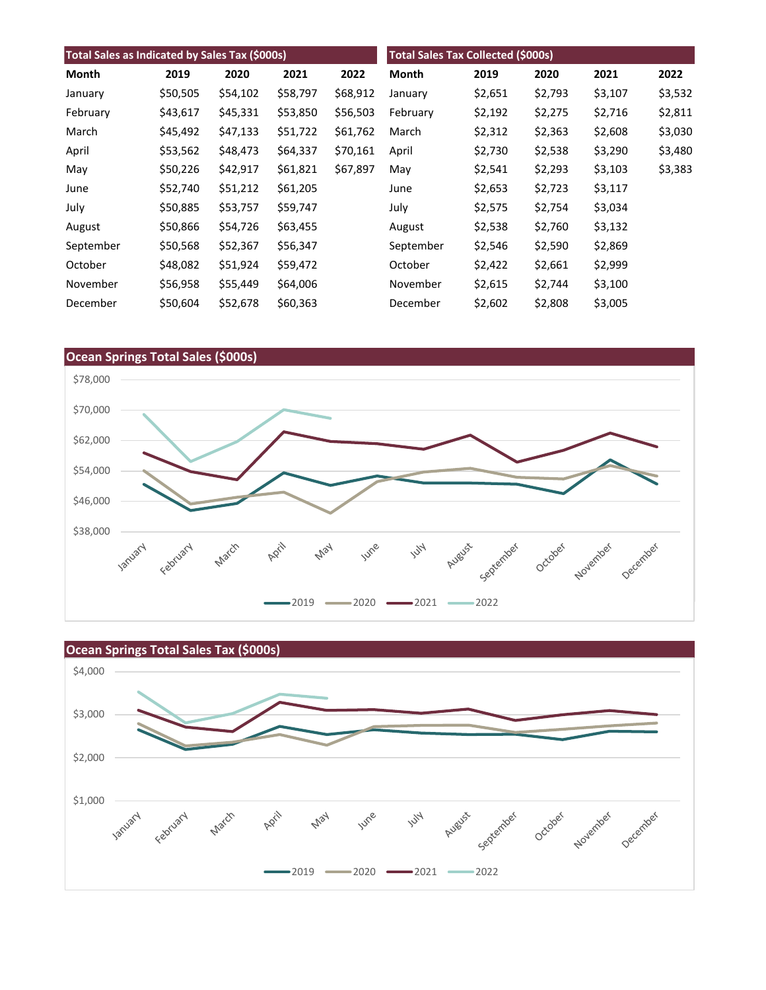| Total Sales as Indicated by Sales Tax (\$000s) |          |          |          | <b>Total Sales Tax Collected (\$000s)</b> |              |         |         |         |         |
|------------------------------------------------|----------|----------|----------|-------------------------------------------|--------------|---------|---------|---------|---------|
| Month                                          | 2019     | 2020     | 2021     | 2022                                      | <b>Month</b> | 2019    | 2020    | 2021    | 2022    |
| January                                        | \$50,505 | \$54,102 | \$58,797 | \$68,912                                  | January      | \$2,651 | \$2,793 | \$3,107 | \$3,532 |
| February                                       | \$43,617 | \$45,331 | \$53,850 | \$56,503                                  | February     | \$2,192 | \$2,275 | \$2,716 | \$2,811 |
| March                                          | \$45,492 | \$47,133 | \$51,722 | \$61,762                                  | March        | \$2,312 | \$2,363 | \$2,608 | \$3,030 |
| April                                          | \$53,562 | \$48,473 | \$64,337 | \$70,161                                  | April        | \$2,730 | \$2,538 | \$3,290 | \$3,480 |
| May                                            | \$50,226 | \$42,917 | \$61,821 | \$67,897                                  | May          | \$2,541 | \$2,293 | \$3,103 | \$3,383 |
| June                                           | \$52,740 | \$51,212 | \$61,205 |                                           | June         | \$2,653 | \$2,723 | \$3,117 |         |
| July                                           | \$50,885 | \$53,757 | \$59,747 |                                           | July         | \$2,575 | \$2,754 | \$3,034 |         |
| August                                         | \$50,866 | \$54,726 | \$63,455 |                                           | August       | \$2,538 | \$2,760 | \$3,132 |         |
| September                                      | \$50,568 | \$52,367 | \$56,347 |                                           | September    | \$2,546 | \$2,590 | \$2,869 |         |
| October                                        | \$48,082 | \$51,924 | \$59,472 |                                           | October      | \$2,422 | \$2,661 | \$2,999 |         |
| November                                       | \$56,958 | \$55,449 | \$64,006 |                                           | November     | \$2,615 | \$2,744 | \$3,100 |         |
| December                                       | \$50,604 | \$52,678 | \$60,363 |                                           | December     | \$2,602 | \$2,808 | \$3,005 |         |



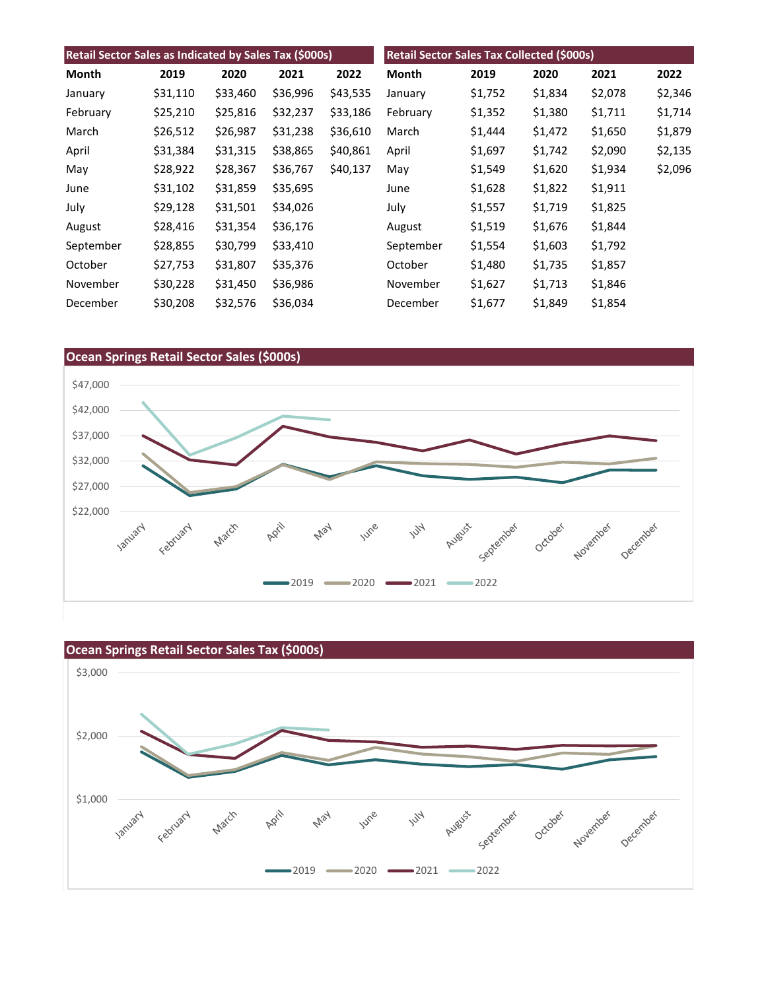| Retail Sector Sales as Indicated by Sales Tax (\$000s) |          |          |          | Retail Sector Sales Tax Collected (\$000s) |           |         |         |         |         |
|--------------------------------------------------------|----------|----------|----------|--------------------------------------------|-----------|---------|---------|---------|---------|
| Month                                                  | 2019     | 2020     | 2021     | 2022                                       | Month     | 2019    | 2020    | 2021    | 2022    |
| January                                                | \$31,110 | \$33,460 | \$36,996 | \$43,535                                   | January   | \$1,752 | \$1,834 | \$2,078 | \$2,346 |
| February                                               | \$25,210 | \$25,816 | \$32,237 | \$33,186                                   | February  | \$1,352 | \$1,380 | \$1,711 | \$1,714 |
| March                                                  | \$26,512 | \$26,987 | \$31,238 | \$36,610                                   | March     | \$1,444 | \$1,472 | \$1,650 | \$1,879 |
| April                                                  | \$31,384 | \$31,315 | \$38,865 | \$40,861                                   | April     | \$1,697 | \$1,742 | \$2,090 | \$2,135 |
| May                                                    | \$28,922 | \$28,367 | \$36,767 | \$40,137                                   | May       | \$1,549 | \$1,620 | \$1,934 | \$2,096 |
| June                                                   | \$31,102 | \$31,859 | \$35,695 |                                            | June      | \$1,628 | \$1,822 | \$1,911 |         |
| July                                                   | \$29,128 | \$31,501 | \$34,026 |                                            | July      | \$1,557 | \$1,719 | \$1,825 |         |
| August                                                 | \$28,416 | \$31,354 | \$36,176 |                                            | August    | \$1,519 | \$1,676 | \$1,844 |         |
| September                                              | \$28,855 | \$30,799 | \$33,410 |                                            | September | \$1,554 | \$1,603 | \$1,792 |         |
| October                                                | \$27,753 | \$31,807 | \$35,376 |                                            | October   | \$1,480 | \$1,735 | \$1,857 |         |
| November                                               | \$30,228 | \$31,450 | \$36,986 |                                            | November  | \$1,627 | \$1,713 | \$1,846 |         |
| December                                               | \$30,208 | \$32,576 | \$36,034 |                                            | December  | \$1,677 | \$1,849 | \$1,854 |         |



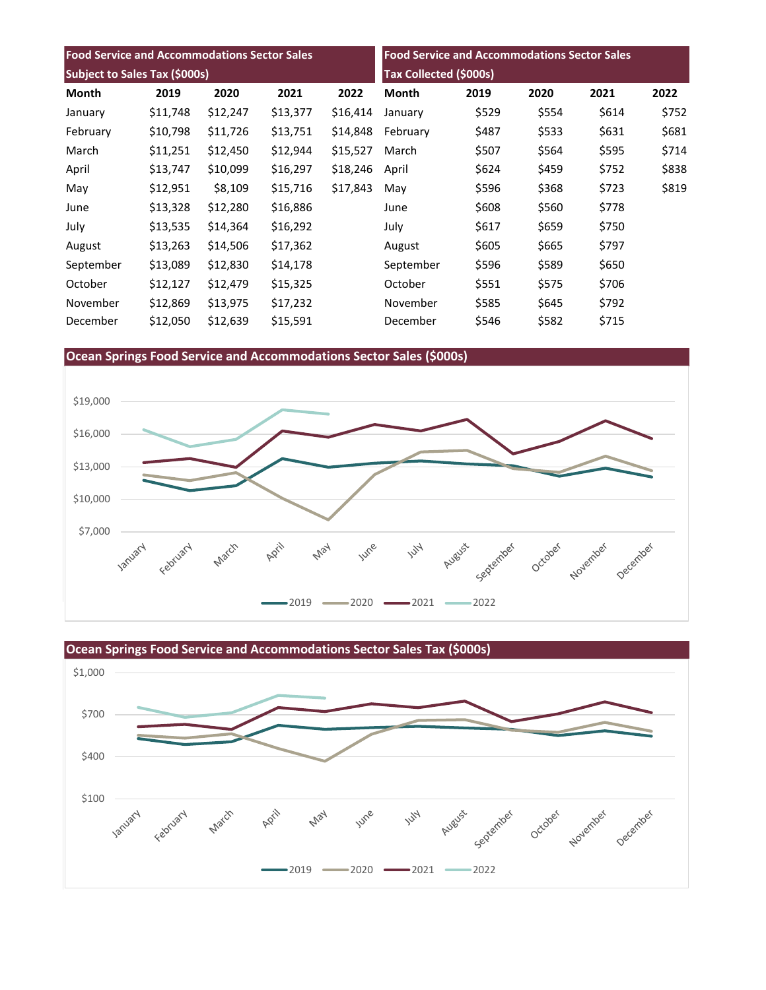| <b>Food Service and Accommodations Sector Sales</b> |          |          | <b>Food Service and Accommodations Sector Sales</b> |                               |              |       |       |       |       |
|-----------------------------------------------------|----------|----------|-----------------------------------------------------|-------------------------------|--------------|-------|-------|-------|-------|
| Subject to Sales Tax (\$000s)                       |          |          |                                                     | <b>Tax Collected (\$000s)</b> |              |       |       |       |       |
| Month                                               | 2019     | 2020     | 2021                                                | 2022                          | <b>Month</b> | 2019  | 2020  | 2021  | 2022  |
| January                                             | \$11,748 | \$12,247 | \$13,377                                            | \$16,414                      | January      | \$529 | \$554 | \$614 | \$752 |
| February                                            | \$10,798 | \$11,726 | \$13,751                                            | \$14,848                      | February     | \$487 | \$533 | \$631 | \$681 |
| March                                               | \$11,251 | \$12,450 | \$12,944                                            | \$15,527                      | March        | \$507 | \$564 | \$595 | \$714 |
| April                                               | \$13,747 | \$10,099 | \$16,297                                            | \$18,246                      | April        | \$624 | \$459 | \$752 | \$838 |
| May                                                 | \$12,951 | \$8,109  | \$15,716                                            | \$17,843                      | May          | \$596 | \$368 | \$723 | \$819 |
| June                                                | \$13,328 | \$12,280 | \$16,886                                            |                               | June         | \$608 | \$560 | \$778 |       |
| July                                                | \$13,535 | \$14,364 | \$16,292                                            |                               | July         | \$617 | \$659 | \$750 |       |
| August                                              | \$13,263 | \$14,506 | \$17,362                                            |                               | August       | \$605 | \$665 | \$797 |       |
| September                                           | \$13,089 | \$12,830 | \$14,178                                            |                               | September    | \$596 | \$589 | \$650 |       |
| October                                             | \$12,127 | \$12,479 | \$15,325                                            |                               | October      | \$551 | \$575 | \$706 |       |
| November                                            | \$12,869 | \$13,975 | \$17,232                                            |                               | November     | \$585 | \$645 | \$792 |       |
| December                                            | \$12,050 | \$12,639 | \$15,591                                            |                               | December     | \$546 | \$582 | \$715 |       |







**Ocean Springs Food Service and Accommodations Sector Sales Tax (\$000s)**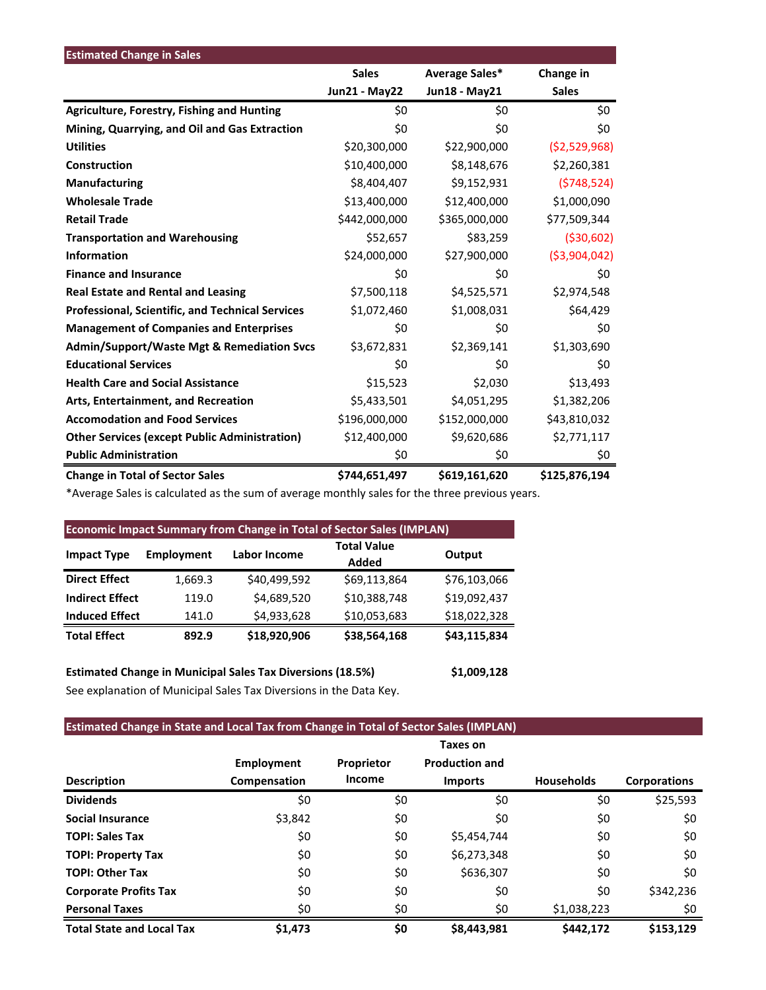| <b>Estimated Change in Sales</b>                        |                      |                |                |
|---------------------------------------------------------|----------------------|----------------|----------------|
|                                                         | <b>Sales</b>         | Average Sales* | Change in      |
|                                                         | <b>Jun21 - May22</b> | Jun18 - May21  | <b>Sales</b>   |
| <b>Agriculture, Forestry, Fishing and Hunting</b>       | \$0                  | \$0            | \$0            |
| Mining, Quarrying, and Oil and Gas Extraction           | \$0                  | \$0            | \$0            |
| <b>Utilities</b>                                        | \$20,300,000         | \$22,900,000   | (52,529,968)   |
| Construction                                            | \$10,400,000         | \$8,148,676    | \$2,260,381    |
| <b>Manufacturing</b>                                    | \$8,404,407          | \$9,152,931    | (5748, 524)    |
| <b>Wholesale Trade</b>                                  | \$13,400,000         | \$12,400,000   | \$1,000,090    |
| <b>Retail Trade</b>                                     | \$442,000,000        | \$365,000,000  | \$77,509,344   |
| <b>Transportation and Warehousing</b>                   | \$52,657             | \$83,259       | ( \$30, 602)   |
| <b>Information</b>                                      | \$24,000,000         | \$27,900,000   | ( \$3,904,042) |
| <b>Finance and Insurance</b>                            | \$0                  | \$0            | \$0            |
| <b>Real Estate and Rental and Leasing</b>               | \$7,500,118          | \$4,525,571    | \$2,974,548    |
| <b>Professional, Scientific, and Technical Services</b> | \$1,072,460          | \$1,008,031    | \$64,429       |
| <b>Management of Companies and Enterprises</b>          | \$0                  | \$0            | \$0            |
| <b>Admin/Support/Waste Mgt &amp; Remediation Svcs</b>   | \$3,672,831          | \$2,369,141    | \$1,303,690    |
| <b>Educational Services</b>                             | \$0                  | \$0            | \$0            |
| <b>Health Care and Social Assistance</b>                | \$15,523             | \$2,030        | \$13,493       |
| Arts, Entertainment, and Recreation                     | \$5,433,501          | \$4,051,295    | \$1,382,206    |
| <b>Accomodation and Food Services</b>                   | \$196,000,000        | \$152,000,000  | \$43,810,032   |
| <b>Other Services (except Public Administration)</b>    | \$12,400,000         | \$9,620,686    | \$2,771,117    |
| <b>Public Administration</b>                            | \$0                  | \$0            | \$0            |
| <b>Change in Total of Sector Sales</b>                  | \$744,651,497        | \$619,161,620  | \$125,876,194  |

\*Average Sales is calculated as the sum of average monthly sales for the three previous years.

| <b>Economic Impact Summary from Change in Total of Sector Sales (IMPLAN)</b> |                   |              |                             |              |  |  |  |
|------------------------------------------------------------------------------|-------------------|--------------|-----------------------------|--------------|--|--|--|
| <b>Impact Type</b>                                                           | <b>Employment</b> | Labor Income | <b>Total Value</b><br>Added | Output       |  |  |  |
| <b>Direct Effect</b>                                                         | 1,669.3           | \$40,499,592 | \$69,113,864                | \$76,103,066 |  |  |  |
| <b>Indirect Effect</b>                                                       | 119.0             | \$4,689,520  | \$10,388,748                | \$19,092,437 |  |  |  |
| <b>Induced Effect</b>                                                        | 141.0             | \$4,933,628  | \$10,053,683                | \$18,022,328 |  |  |  |
| <b>Total Effect</b>                                                          | 892.9             | \$18,920,906 | \$38,564,168                | \$43,115,834 |  |  |  |

**Estimated Change in Municipal Sales Tax Diversions (18.5%) \$1,009,128** See explanation of Municipal Sales Tax Diversions in the Data Key.

## **Estimated Change in State and Local Tax from Change in Total of Sector Sales (IMPLAN)**

|                                  |                   |            | Taxes on              |                   |                     |
|----------------------------------|-------------------|------------|-----------------------|-------------------|---------------------|
|                                  | <b>Employment</b> | Proprietor | <b>Production and</b> |                   |                     |
| <b>Description</b>               | Compensation      | Income     | <b>Imports</b>        | <b>Households</b> | <b>Corporations</b> |
| <b>Dividends</b>                 | \$0               | \$0        | \$0                   | \$0               | \$25,593            |
| <b>Social Insurance</b>          | \$3,842           | \$0        | \$0                   | \$0               | \$0                 |
| <b>TOPI: Sales Tax</b>           | \$0               | \$0        | \$5,454,744           | \$0               | \$0                 |
| <b>TOPI: Property Tax</b>        | \$0               | \$0        | \$6,273,348           | \$0               | \$0                 |
| <b>TOPI: Other Tax</b>           | \$0               | \$0        | \$636,307             | \$0               | \$0                 |
| <b>Corporate Profits Tax</b>     | \$0               | \$0        | \$0                   | \$0               | \$342,236           |
| <b>Personal Taxes</b>            | \$0               | \$0        | \$0                   | \$1,038,223       | \$0                 |
| <b>Total State and Local Tax</b> | \$1,473           | \$0        | \$8,443,981           | \$442,172         | \$153.129           |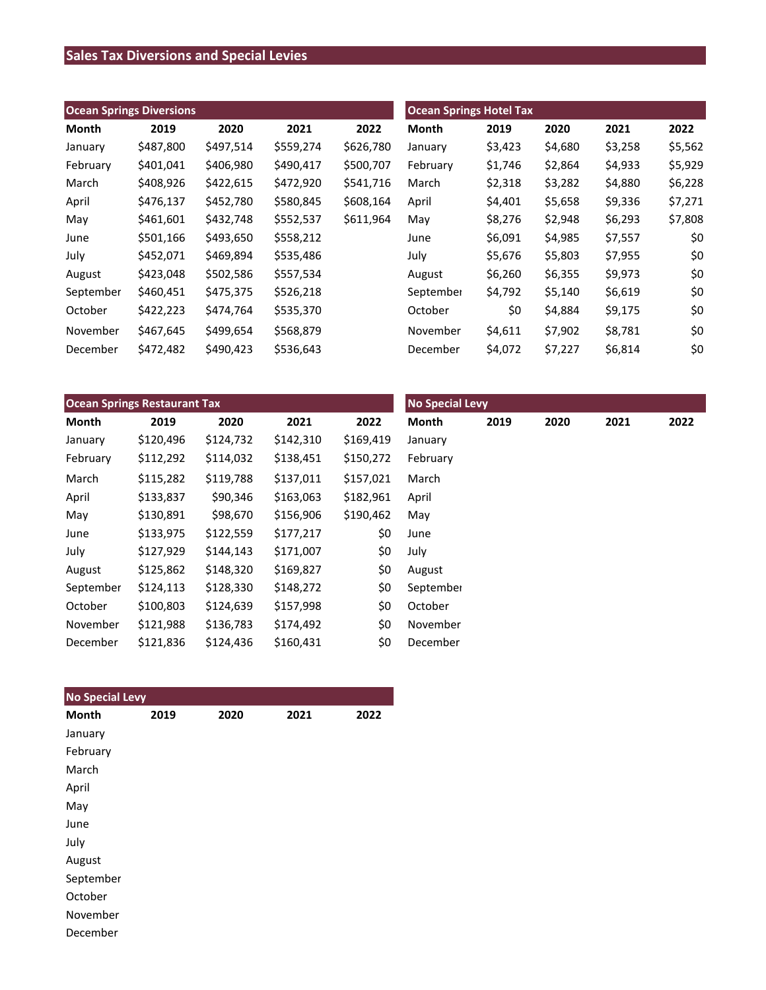# **Sales Tax Diversions and Special Levies**

| <b>Ocean Springs Diversions</b> |           |           |           | <b>Ocean Springs Hotel Tax</b> |              |         |         |         |         |
|---------------------------------|-----------|-----------|-----------|--------------------------------|--------------|---------|---------|---------|---------|
| Month                           | 2019      | 2020      | 2021      | 2022                           | <b>Month</b> | 2019    | 2020    | 2021    | 2022    |
| January                         | \$487,800 | \$497,514 | \$559,274 | \$626,780                      | January      | \$3,423 | \$4,680 | \$3,258 | \$5,562 |
| February                        | \$401,041 | \$406,980 | \$490,417 | \$500,707                      | February     | \$1,746 | \$2,864 | \$4,933 | \$5,929 |
| March                           | \$408,926 | \$422,615 | \$472,920 | \$541,716                      | March        | \$2,318 | \$3,282 | \$4,880 | \$6,228 |
| April                           | \$476,137 | \$452,780 | \$580,845 | \$608,164                      | April        | \$4,401 | \$5,658 | \$9,336 | \$7,271 |
| May                             | \$461,601 | \$432,748 | \$552,537 | \$611,964                      | May          | \$8,276 | \$2,948 | \$6,293 | \$7,808 |
| June                            | \$501,166 | \$493,650 | \$558,212 |                                | June         | \$6,091 | \$4,985 | \$7,557 | \$0     |
| July                            | \$452,071 | \$469,894 | \$535,486 |                                | July         | \$5,676 | \$5,803 | \$7,955 | \$0     |
| August                          | \$423,048 | \$502,586 | \$557,534 |                                | August       | \$6,260 | \$6,355 | \$9,973 | \$0     |
| September                       | \$460,451 | \$475,375 | \$526,218 |                                | September    | \$4,792 | \$5,140 | \$6,619 | \$0     |
| October                         | \$422,223 | \$474,764 | \$535,370 |                                | October      | \$0     | \$4,884 | \$9,175 | \$0     |
| November                        | \$467,645 | \$499,654 | \$568,879 |                                | November     | \$4,611 | \$7,902 | \$8,781 | \$0     |
| December                        | \$472,482 | \$490,423 | \$536,643 |                                | December     | \$4,072 | \$7,227 | \$6,814 | \$0     |

| <b>Ocean Springs Restaurant Tax</b> |           |           |           |           | <b>No Special Levy</b> |      |      |      |      |
|-------------------------------------|-----------|-----------|-----------|-----------|------------------------|------|------|------|------|
| Month                               | 2019      | 2020      | 2021      | 2022      | Month                  | 2019 | 2020 | 2021 | 2022 |
| January                             | \$120,496 | \$124,732 | \$142,310 | \$169,419 | January                |      |      |      |      |
| February                            | \$112,292 | \$114,032 | \$138,451 | \$150,272 | February               |      |      |      |      |
| March                               | \$115,282 | \$119,788 | \$137,011 | \$157,021 | March                  |      |      |      |      |
| April                               | \$133,837 | \$90,346  | \$163,063 | \$182,961 | April                  |      |      |      |      |
| May                                 | \$130,891 | \$98,670  | \$156,906 | \$190,462 | May                    |      |      |      |      |
| June                                | \$133,975 | \$122,559 | \$177,217 | \$0       | June                   |      |      |      |      |
| July                                | \$127,929 | \$144,143 | \$171,007 | \$0       | July                   |      |      |      |      |
| August                              | \$125,862 | \$148,320 | \$169,827 | \$0       | August                 |      |      |      |      |
| September                           | \$124,113 | \$128,330 | \$148,272 | \$0       | September              |      |      |      |      |
| October                             | \$100,803 | \$124,639 | \$157,998 | \$0       | October                |      |      |      |      |
| November                            | \$121,988 | \$136,783 | \$174,492 | \$0       | November               |      |      |      |      |
| December                            | \$121,836 | \$124,436 | \$160,431 | \$0       | December               |      |      |      |      |

| <b>No Special Levy</b> |      |      |      |      |
|------------------------|------|------|------|------|
| <b>Month</b>           | 2019 | 2020 | 2021 | 2022 |
| January                |      |      |      |      |
| February               |      |      |      |      |
| March                  |      |      |      |      |
| April                  |      |      |      |      |
| May                    |      |      |      |      |
| June                   |      |      |      |      |
| July                   |      |      |      |      |
| August                 |      |      |      |      |
| September              |      |      |      |      |
| October                |      |      |      |      |
| November               |      |      |      |      |
| December               |      |      |      |      |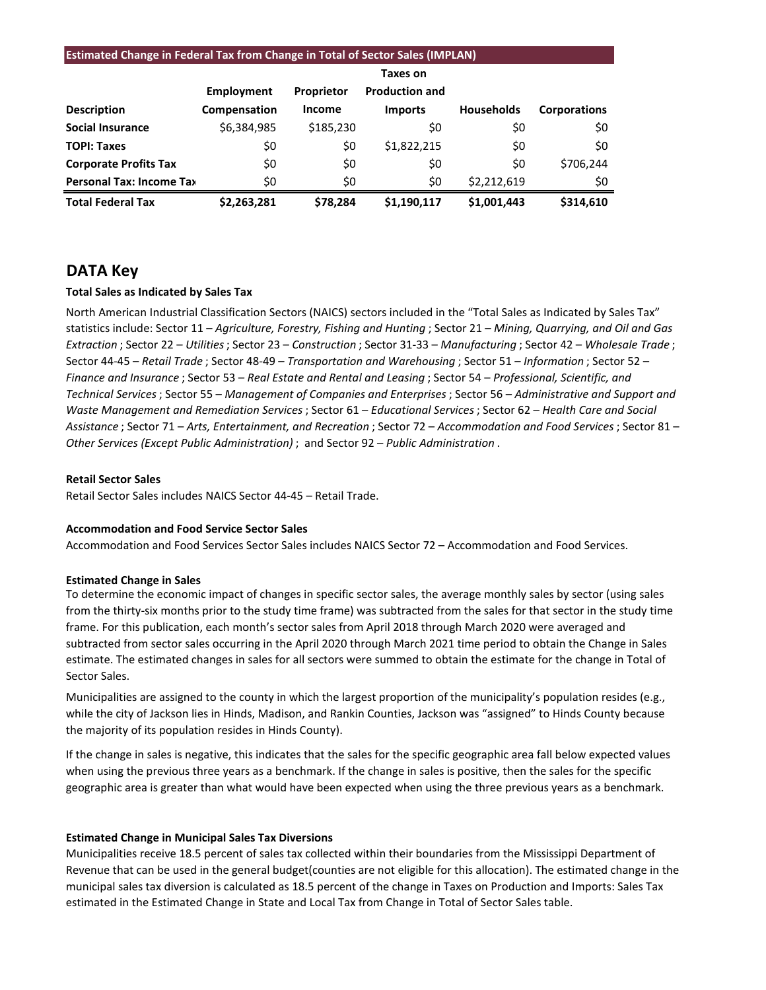#### **Estimated Change in Federal Tax from Change in Total of Sector Sales (IMPLAN)**

|                                 |              |               | Taxes on              |                   |                     |
|---------------------------------|--------------|---------------|-----------------------|-------------------|---------------------|
|                                 | Employment   | Proprietor    | <b>Production and</b> |                   |                     |
| <b>Description</b>              | Compensation | <b>Income</b> | <b>Imports</b>        | <b>Households</b> | <b>Corporations</b> |
| <b>Social Insurance</b>         | \$6,384,985  | \$185,230     | \$0                   | \$0               | \$0                 |
| <b>TOPI: Taxes</b>              | \$0          | \$0           | \$1,822,215           | \$0               | \$0                 |
| <b>Corporate Profits Tax</b>    | \$0          | \$0           | \$0                   | \$0               | \$706,244           |
| <b>Personal Tax: Income Tax</b> | \$0          | \$0           | \$0                   | \$2,212,619       | \$0                 |
| <b>Total Federal Tax</b>        | \$2,263,281  | \$78.284      | \$1.190.117           | \$1,001,443       | \$314,610           |

## **DATA Key**

#### **Total Sales as Indicated by Sales Tax**

North American Industrial Classification Sectors (NAICS) sectors included in the "Total Sales as Indicated by Sales Tax" statistics include: Sector 11 – *Agriculture, Forestry, Fishing and Hunting* ; Sector 21 – *Mining, Quarrying, and Oil and Gas Extraction* ; Sector 22 – *Utilities*; Sector 23 – *Construction* ; Sector 31-33 – *Manufacturing* ; Sector 42 – *Wholesale Trade* ; Sector 44-45 – *Retail Trade* ; Sector 48-49 – *Transportation and Warehousing* ; Sector 51 – *Information* ; Sector 52 – *Finance and Insurance* ; Sector 53 – *Real Estate and Rental and Leasing* ; Sector 54 – *Professional, Scientific, and Technical Services*; Sector 55 – *Management of Companies and Enterprises* ; Sector 56 – *Administrative and Support and Waste Management and Remediation Services* ; Sector 61 – *Educational Services*; Sector 62 – *Health Care and Social Assistance* ; Sector 71 – *Arts, Entertainment, and Recreation* ; Sector 72 – *Accommodation and Food Services* ; Sector 81 – *Other Services (Except Public Administration)* ; and Sector 92 – *Public Administration* .

#### **Retail Sector Sales**

Retail Sector Sales includes NAICS Sector 44-45 – Retail Trade.

#### **Accommodation and Food Service Sector Sales**

Accommodation and Food Services Sector Sales includes NAICS Sector 72 – Accommodation and Food Services.

#### **Estimated Change in Sales**

To determine the economic impact of changes in specific sector sales, the average monthly sales by sector (using sales from the thirty-six months prior to the study time frame) was subtracted from the sales for that sector in the study time frame. For this publication, each month's sector sales from April 2018 through March 2020 were averaged and subtracted from sector sales occurring in the April 2020 through March 2021 time period to obtain the Change in Sales estimate. The estimated changes in sales for all sectors were summed to obtain the estimate for the change in Total of Sector Sales.

Municipalities are assigned to the county in which the largest proportion of the municipality's population resides (e.g., while the city of Jackson lies in Hinds, Madison, and Rankin Counties, Jackson was "assigned" to Hinds County because the majority of its population resides in Hinds County).

If the change in sales is negative, this indicates that the sales for the specific geographic area fall below expected values when using the previous three years as a benchmark. If the change in sales is positive, then the sales for the specific geographic area is greater than what would have been expected when using the three previous years as a benchmark.

#### **Estimated Change in Municipal Sales Tax Diversions**

Municipalities receive 18.5 percent of sales tax collected within their boundaries from the Mississippi Department of Revenue that can be used in the general budget(counties are not eligible for this allocation). The estimated change in the municipal sales tax diversion is calculated as 18.5 percent of the change in Taxes on Production and Imports: Sales Tax estimated in the Estimated Change in State and Local Tax from Change in Total of Sector Sales table.